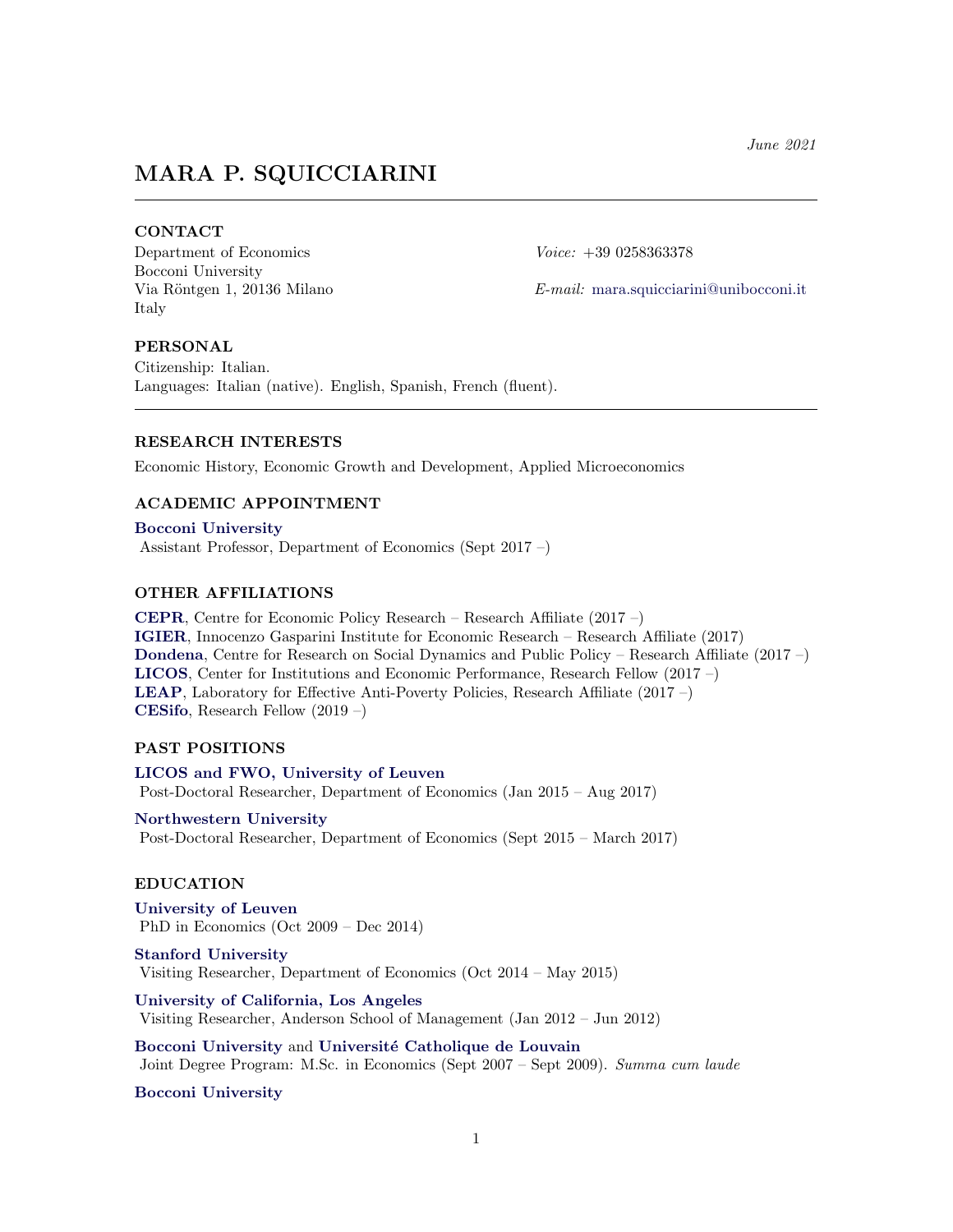# MARA P. SQUICCIARINI

# **CONTACT**

Department of Economics Voice: +39 0258363378 Bocconi University Italy

Via Röntgen 1, 20136 Milano E-mail: [mara.squicciarini@unibocconi.it](mailto:mara.squicciarini@unibocconi.it)

## PERSONAL

Citizenship: Italian. Languages: Italian (native). English, Spanish, French (fluent).

## RESEARCH INTERESTS

Economic History, Economic Growth and Development, Applied Microeconomics

# ACADEMIC APPOINTMENT

[Bocconi University](http://www.unibocconi.eu/) Assistant Professor, Department of Economics (Sept 2017 –)

## OTHER AFFILIATIONS

[CEPR](https://cepr.org/), Centre for Economic Policy Research – Research Affiliate (2017 –) [IGIER](http://www.igier.unibocconi.it/), Innocenzo Gasparini Institute for Economic Research – Research Affiliate (2017) [Dondena](http://www.dondena.unibocconi.it), Centre for Research on Social Dynamics and Public Policy – Research Affiliate (2017 –) [LICOS](https://feb.kuleuven.be/drc/licos), Center for Institutions and Economic Performance, Research Fellow (2017 –) [LEAP](http://www.leap.unibocconi.eu/wps/wcm/connect/Site/Leap/Home), Laboratory for Effective Anti-Poverty Policies, Research Affiliate (2017 –) [CESifo](https://www.cesifo.org/en), Research Fellow (2019 –)

# PAST POSITIONS

[LICOS and FWO, University of Leuven](https://feb.kuleuven.be/drc/licos) Post-Doctoral Researcher, Department of Economics (Jan 2015 – Aug 2017)

[Northwestern University](http://www.economics.northwestern.edu/) Post-Doctoral Researcher, Department of Economics (Sept 2015 – March 2017)

#### EDUCATION

[University of Leuven](http://feb.kuleuven.be/eng/) PhD in Economics (Oct 2009 – Dec 2014)

[Stanford University](https://economics.stanford.edu/) Visiting Researcher, Department of Economics (Oct 2014 – May 2015)

[University of California, Los Angeles](http://www.anderson.ucla.edu) Visiting Researcher, Anderson School of Management (Jan 2012 – Jun 2012)

[Bocconi University](http://www.unibocconi.eu/) and Université Catholique de Louvain Joint Degree Program: M.Sc. in Economics (Sept 2007 – Sept 2009). Summa cum laude

[Bocconi University](http://www.unibocconi.eu/)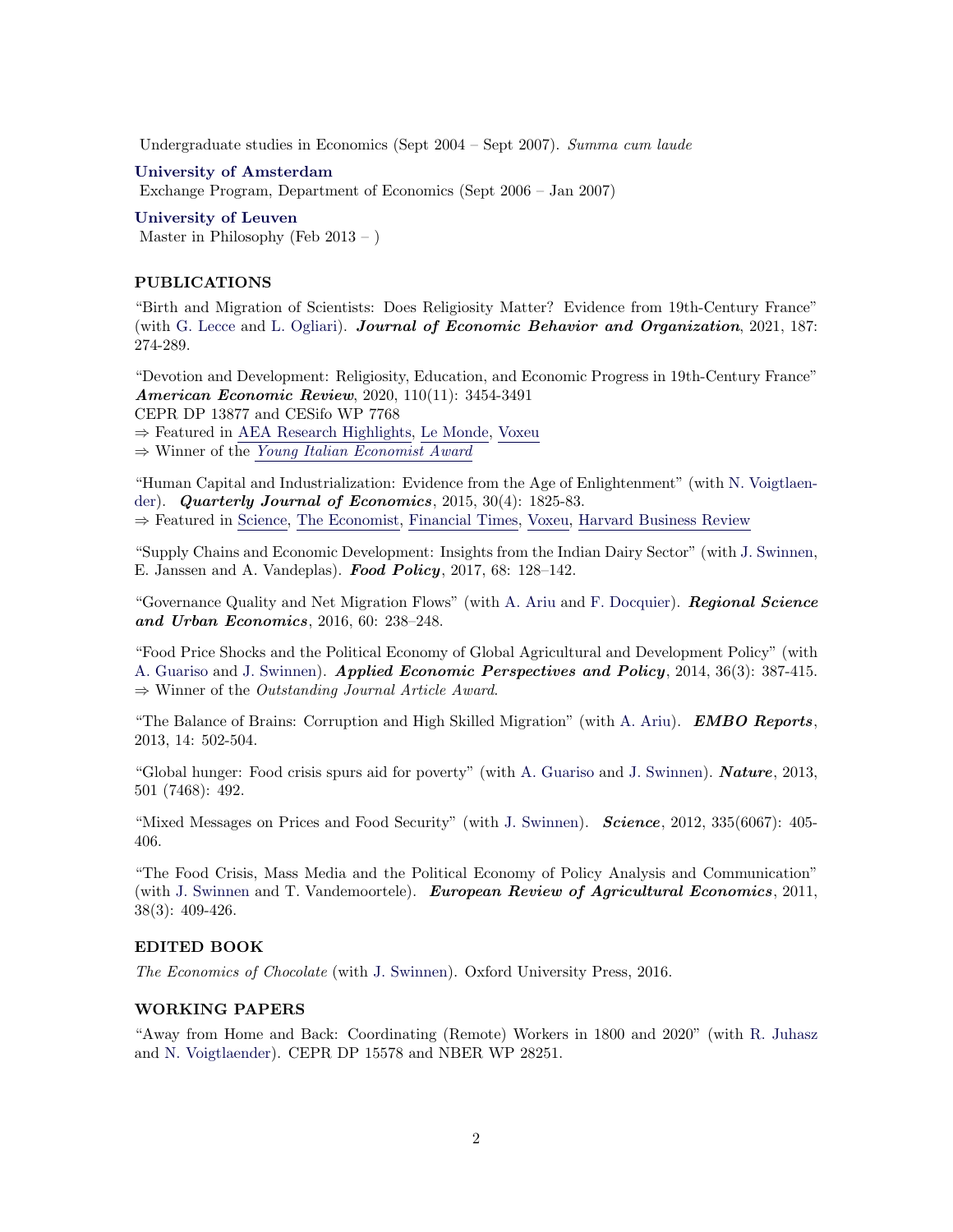Undergraduate studies in Economics (Sept 2004 – Sept 2007). Summa cum laude

#### [University of Amsterdam](http://ase.uva.nl)

Exchange Program, Department of Economics (Sept 2006 – Jan 2007)

[University of Leuven](http://hiw.kuleuven.be/eng/) Master in Philosophy (Feb  $2013 -$ )

#### PUBLICATIONS

"Birth and Migration of Scientists: Does Religiosity Matter? Evidence from 19th-Century France" (with [G. Lecce](https://sites.google.com/site/giampaololecce/home) and [L. Ogliari\)](https://sites.google.com/view/laura-ogliari/). Journal of Economic Behavior and Organization, 2021, 187: 274-289.

"Devotion and Development: Religiosity, Education, and Economic Progress in 19th-Century France" American Economic Review, 2020, 110(11): 3454-3491

CEPR DP 13877 and CESifo WP 7768

⇒ Featured in AEA Research [Highlights,](https://www.aeaweb.org/research/devotion-industrial-development-france) Le [Monde,](https://www.lemonde.fr/idees/article/2020/11/04/l-ecole-laique-moteur-industriel_6058416_3232.html) [Voxeu](https://voxeu.org/article/religiosity-education-and-economic-progress-19th-century-france)

⇒ Winner of the Young Italian [Economist](https://www.knowledge.unibocconi.eu/notizia.php?idArt=20063) Award

"Human Capital and Industrialization: Evidence from the Age of Enlightenment" (with [N. Voigtlaen](http://www.anderson.ucla.edu/faculty/nico.v/)[der\)](http://www.anderson.ucla.edu/faculty/nico.v/). Quarterly Journal of Economics, 2015, 30(4): 1825-83.

⇒ Featured in [Science,](http://science.sciencemag.org/content/349/6244/141.summary) The [Economist,](https://www.economist.com/free-exchange/2014/07/08/the-importance-of-a-skilled-1) [Financial](https://www.ft.com/content/020c509a-257b-3373-9880-6c9bd3181e3d) Times, [Voxeu,](https://voxeu.org/article/knowledge-elites-enlightenment-and-industrialisation) Harvard [Business](https://hbr.org/2015/08/entrepreneurs-economic-growth-and-the-enlightenment) Review

"Supply Chains and Economic Development: Insights from the Indian Dairy Sector" (with [J. Swinnen,](http://feb.kuleuven.be/jo.swinnen) E. Janssen and A. Vandeplas). Food Policy, 2017, 68: 128–142.

"Governance Quality and Net Migration Flows" (with [A. Ariu](http://www.ariu.eu/Andrea_Arius_Web_Page/Home.html) and [F. Docquier\)](http://perso.uclouvain.be/frederic.docquier/). Regional Science and Urban Economics, 2016, 60: 238–248.

"Food Price Shocks and the Political Economy of Global Agricultural and Development Policy" (with [A. Guariso](http://www.andreaguariso.net/andrea/Home.html) and [J. Swinnen\)](http://feb.kuleuven.be/jo.swinnen). Applied Economic Perspectives and Policy, 2014, 36(3): 387-415.  $\Rightarrow$  Winner of the *Outstanding Journal Article Award.* 

"The Balance of Brains: Corruption and High Skilled Migration" (with [A. Ariu\)](http://www.ariu.eu/Andrea_Arius_Web_Page/Home.html). **EMBO Reports**, 2013, 14: 502-504.

"Global hunger: Food crisis spurs aid for poverty" (with [A. Guariso](http://www.andreaguariso.net/andrea/Home.html) and [J. Swinnen\)](http://feb.kuleuven.be/jo.swinnen). **Nature**, 2013, 501 (7468): 492.

"Mixed Messages on Prices and Food Security" (with [J. Swinnen\)](http://feb.kuleuven.be/jo.swinnen). Science, 2012, 335(6067): 405- 406.

"The Food Crisis, Mass Media and the Political Economy of Policy Analysis and Communication" (with [J. Swinnen](http://feb.kuleuven.be/jo.swinnen) and T. Vandemoortele). **European Review of Agricultural Economics**, 2011, 38(3): 409-426.

# EDITED BOOK

The Economics of Chocolate (with [J. Swinnen\)](http://feb.kuleuven.be/jo.swinnen). Oxford University Press, 2016.

## WORKING PAPERS

"Away from Home and Back: Coordinating (Remote) Workers in 1800 and 2020" (with [R. Juhasz](http://www.rjuhasz.com) and [N. Voigtlaender\)](http://www.anderson.ucla.edu/faculty/nico.v/). CEPR DP 15578 and NBER WP 28251.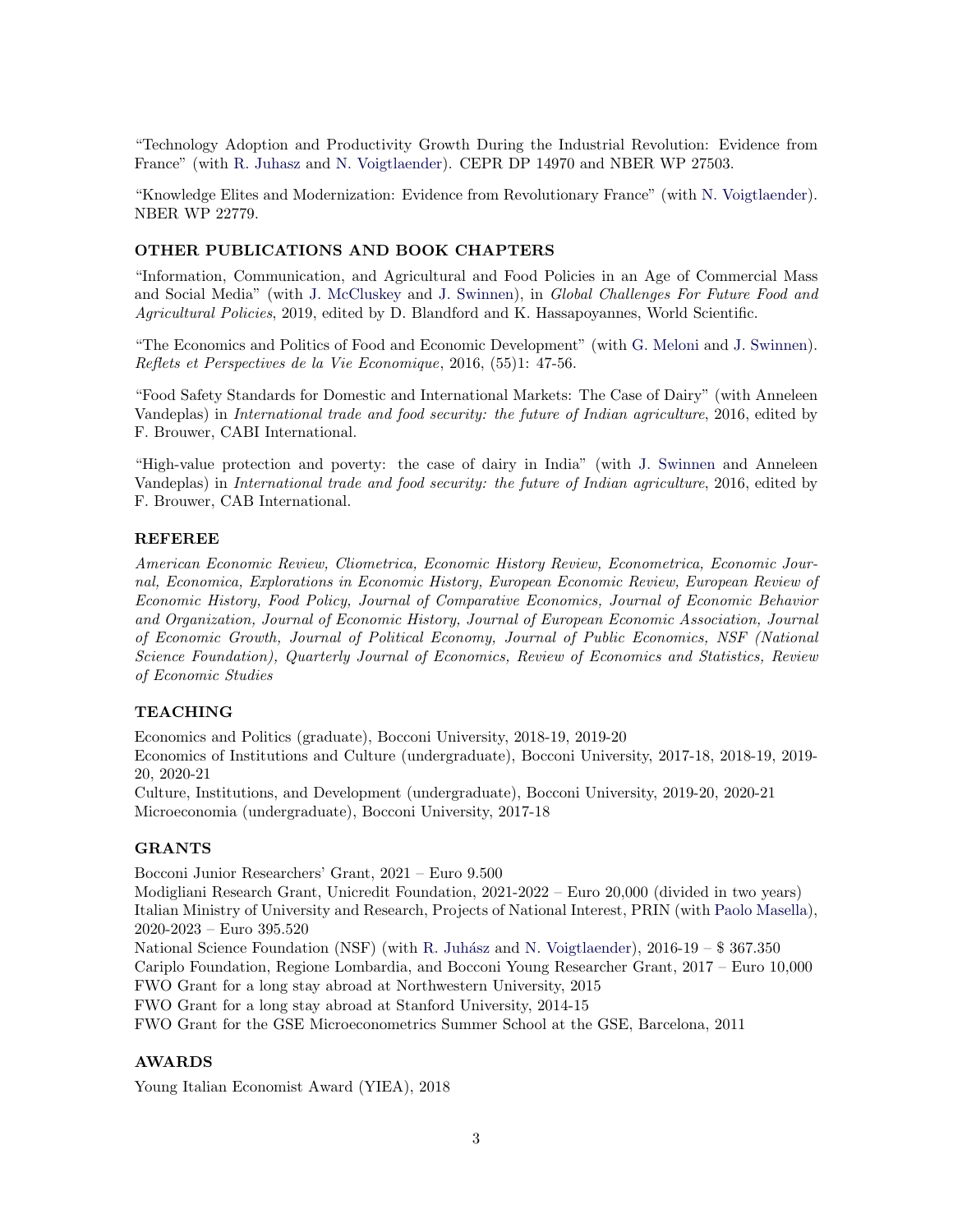"Technology Adoption and Productivity Growth During the Industrial Revolution: Evidence from France" (with [R. Juhasz](http://www.rjuhasz.com) and [N. Voigtlaender\)](http://www.anderson.ucla.edu/faculty/nico.v/). CEPR DP 14970 and NBER WP 27503.

"Knowledge Elites and Modernization: Evidence from Revolutionary France" (with [N. Voigtlaender\)](http://www.anderson.ucla.edu/faculty/nico.v/). NBER WP 22779.

## OTHER PUBLICATIONS AND BOOK CHAPTERS

"Information, Communication, and Agricultural and Food Policies in an Age of Commercial Mass and Social Media" (with [J. McCluskey](https://people.ses.wsu.edu/mccluskey/) and [J. Swinnen\)](http://feb.kuleuven.be/jo.swinnen), in Global Challenges For Future Food and Agricultural Policies, 2019, edited by D. Blandford and K. Hassapoyannes, World Scientific.

"The Economics and Politics of Food and Economic Development" (with [G. Meloni](https://feb.kuleuven.be/Giulia.Meloni) and [J. Swinnen\)](http://feb.kuleuven.be/jo.swinnen). Reflets et Perspectives de la Vie Economique, 2016, (55)1: 47-56.

"Food Safety Standards for Domestic and International Markets: The Case of Dairy" (with Anneleen Vandeplas) in International trade and food security: the future of Indian agriculture, 2016, edited by F. Brouwer, CABI International.

"High-value protection and poverty: the case of dairy in India" (with [J. Swinnen](http://feb.kuleuven.be/jo.swinnen) and Anneleen Vandeplas) in International trade and food security: the future of Indian agriculture, 2016, edited by F. Brouwer, CAB International.

# REFEREE

American Economic Review, Cliometrica, Economic History Review, Econometrica, Economic Journal, Economica, Explorations in Economic History, European Economic Review, European Review of Economic History, Food Policy, Journal of Comparative Economics, Journal of Economic Behavior and Organization, Journal of Economic History, Journal of European Economic Association, Journal of Economic Growth, Journal of Political Economy, Journal of Public Economics, NSF (National Science Foundation), Quarterly Journal of Economics, Review of Economics and Statistics, Review of Economic Studies

## TEACHING

Economics and Politics (graduate), Bocconi University, 2018-19, 2019-20 Economics of Institutions and Culture (undergraduate), Bocconi University, 2017-18, 2018-19, 2019- 20, 2020-21

Culture, Institutions, and Development (undergraduate), Bocconi University, 2019-20, 2020-21 Microeconomia (undergraduate), Bocconi University, 2017-18

# GRANTS

Bocconi Junior Researchers' Grant, 2021 – Euro 9.500

Modigliani Research Grant, Unicredit Foundation, 2021-2022 – Euro 20,000 (divided in two years) Italian Ministry of University and Research, Projects of National Interest, PRIN (with [Paolo Masella\)](https://www.unibo.it/sitoweb/p.masella/), 2020-2023 – Euro 395.520

National Science Foundation (NSF) (with R. Juhász and [N. Voigtlaender\)](http://www.anderson.ucla.edu/faculty/nico.v/),  $2016-19 - $367.350$ Cariplo Foundation, Regione Lombardia, and Bocconi Young Researcher Grant, 2017 – Euro 10,000 FWO Grant for a long stay abroad at Northwestern University, 2015

FWO Grant for a long stay abroad at Stanford University, 2014-15

FWO Grant for the GSE Microeconometrics Summer School at the GSE, Barcelona, 2011

## AWARDS

Young Italian Economist Award (YIEA), 2018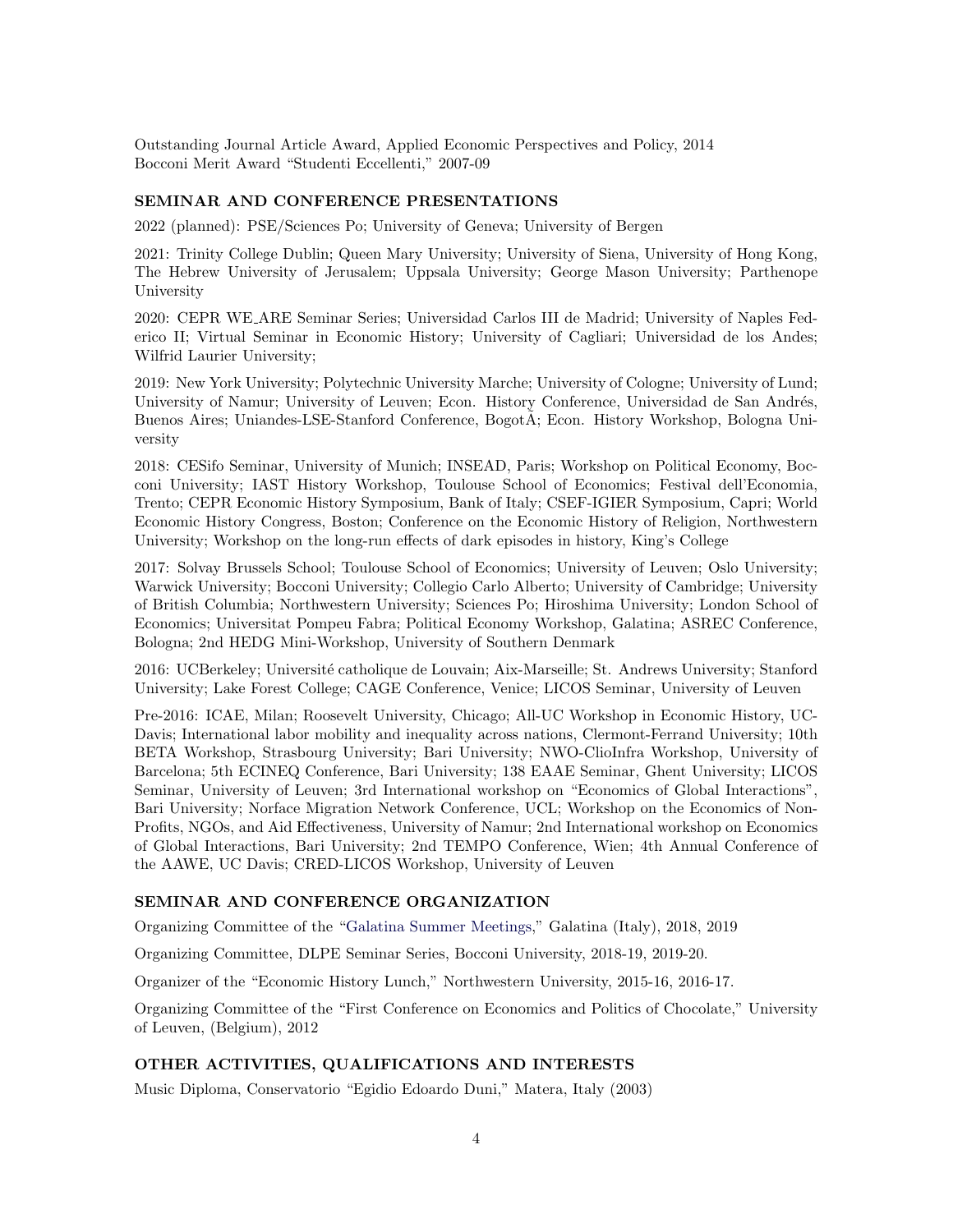Outstanding Journal Article Award, Applied Economic Perspectives and Policy, 2014 Bocconi Merit Award "Studenti Eccellenti," 2007-09

## SEMINAR AND CONFERENCE PRESENTATIONS

2022 (planned): PSE/Sciences Po; University of Geneva; University of Bergen

2021: Trinity College Dublin; Queen Mary University; University of Siena, University of Hong Kong, The Hebrew University of Jerusalem; Uppsala University; George Mason University; Parthenope University

2020: CEPR WE ARE Seminar Series; Universidad Carlos III de Madrid; University of Naples Federico II; Virtual Seminar in Economic History; University of Cagliari; Universidad de los Andes; Wilfrid Laurier University;

2019: New York University; Polytechnic University Marche; University of Cologne; University of Lund; University of Namur; University of Leuven; Econ. History Conference, Universidad de San Andrés, Buenos Aires; Uniandes-LSE-Stanford Conference, BogotA; Econ. History Workshop, Bologna University

2018: CESifo Seminar, University of Munich; INSEAD, Paris; Workshop on Political Economy, Bocconi University; IAST History Workshop, Toulouse School of Economics; Festival dell'Economia, Trento; CEPR Economic History Symposium, Bank of Italy; CSEF-IGIER Symposium, Capri; World Economic History Congress, Boston; Conference on the Economic History of Religion, Northwestern University; Workshop on the long-run effects of dark episodes in history, King's College

2017: Solvay Brussels School; Toulouse School of Economics; University of Leuven; Oslo University; Warwick University; Bocconi University; Collegio Carlo Alberto; University of Cambridge; University of British Columbia; Northwestern University; Sciences Po; Hiroshima University; London School of Economics; Universitat Pompeu Fabra; Political Economy Workshop, Galatina; ASREC Conference, Bologna; 2nd HEDG Mini-Workshop, University of Southern Denmark

2016: UCBerkeley: Université catholique de Louvain; Aix-Marseille; St. Andrews University; Stanford University; Lake Forest College; CAGE Conference, Venice; LICOS Seminar, University of Leuven

Pre-2016: ICAE, Milan; Roosevelt University, Chicago; All-UC Workshop in Economic History, UC-Davis; International labor mobility and inequality across nations, Clermont-Ferrand University; 10th BETA Workshop, Strasbourg University; Bari University; NWO-ClioInfra Workshop, University of Barcelona; 5th ECINEQ Conference, Bari University; 138 EAAE Seminar, Ghent University; LICOS Seminar, University of Leuven; 3rd International workshop on "Economics of Global Interactions", Bari University; Norface Migration Network Conference, UCL; Workshop on the Economics of Non-Profits, NGOs, and Aid Effectiveness, University of Namur; 2nd International workshop on Economics of Global Interactions, Bari University; 2nd TEMPO Conference, Wien; 4th Annual Conference of the AAWE, UC Davis; CRED-LICOS Workshop, University of Leuven

# SEMINAR AND CONFERENCE ORGANIZATION

Organizing Committee of the ["Galatina Summer Meetings,](https://www.upf.edu/web/luigi-pascali/galatina-summer-meetings?p_p_id=101_INSTANCE_xYFKZ14tOW85&p_p_lifecycle=0&p_p_state=normal&p_p_mode=view&p_p_col_id=column-1&p_p_col_count=1#.XXEspbYy88Z)" Galatina (Italy), 2018, 2019

Organizing Committee, DLPE Seminar Series, Bocconi University, 2018-19, 2019-20.

Organizer of the "Economic History Lunch," Northwestern University, 2015-16, 2016-17.

Organizing Committee of the "First Conference on Economics and Politics of Chocolate," University of Leuven, (Belgium), 2012

#### OTHER ACTIVITIES, QUALIFICATIONS AND INTERESTS

Music Diploma, Conservatorio "Egidio Edoardo Duni," Matera, Italy (2003)